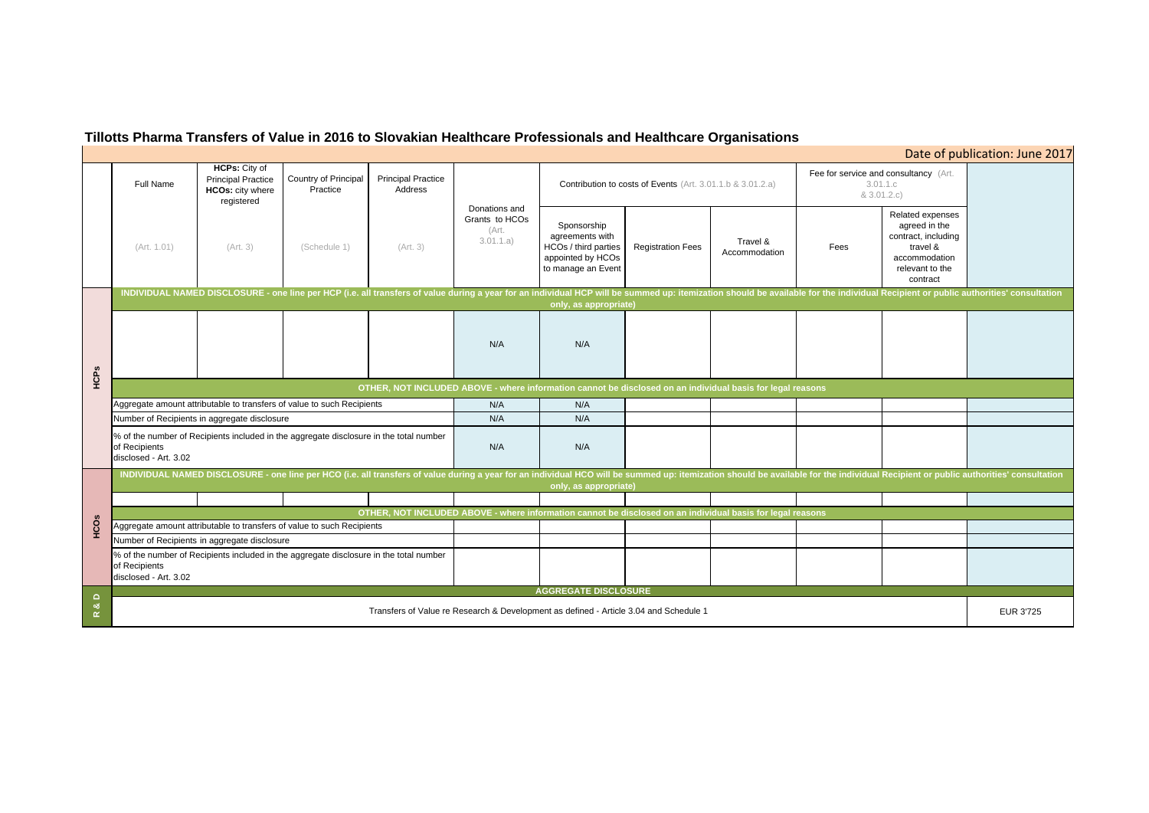# **Tillotts Pharma Transfers of Value in 2016 to Slovakian Healthcare Professionals and Healthcare Organisations**

## Full Name**HCPs:** City of Principal Practice **HCOs:** city where registered Country of Principal **Practice** Principal Practice Address(Art. 1.01) (Art. 3) (Schedule 1) (Art. 3) Sponsorship agreements with HCOs / third parties appointed by HCOs to manage an Event Registration Fees Travel & Fees N/A N/AN/A N/A N/A N/AN/A N/A Fee for service  $8<sub>1</sub>$ % of the number of Recipients included in the aggregate disclosure in the total number of Recipients disclosed - Art. 3.02 Aggregate amount attributable to transfers of value to such Recipients INDIVIDUAL NAMED DISCLOSURE - one line per HCO (i.e. all transfers of value during a year for an individual HCO will be summed up: itemization should be available for the individ **only, as appropriate) OTHER, NOT INCLUDED ABOVE - where information cannot be disclosed on an individual basis for legal reasons** Number of Recipients in aggregate disclosure INDIVIDUAL NAMED DISCLOSURE - one line per HCP (i.e. all transfers of value during a year for an individual HCP will be summed up: itemization should be available for the individ **only, as appropriate) AGGREGATE DISCLOSURE** Donations and Grants to HCOs (Art. 3.01.1.a) Contribution to costs of Events (Art. 3.01.1.b & 3.01.2.a) Aggregate amount attributable to transfers of value to such Recipients<br>
Mumber of Recipients in aggregate disclosure<br>
Manumer of Recipients in aggregate disclosure<br>
Manumer of Recipients in aggregate disclosure<br>
of Aschi

Transfers of Value re Research & Development as defined - Article 3.04 and Schedule 1

| Date of publication: June 2017                    |                                                                                                                      |                  |
|---------------------------------------------------|----------------------------------------------------------------------------------------------------------------------|------------------|
| and consultancy (Art.<br>3.01.1.c<br>3.01.2.c)    |                                                                                                                      |                  |
|                                                   | Related expenses<br>agreed in the<br>contract, including<br>travel &<br>accommodation<br>relevant to the<br>contract |                  |
| ual Recipient or public authorities' consultation |                                                                                                                      |                  |
|                                                   |                                                                                                                      |                  |
|                                                   |                                                                                                                      |                  |
|                                                   |                                                                                                                      |                  |
|                                                   |                                                                                                                      |                  |
| ual Recipient or public authorities' consultation |                                                                                                                      |                  |
|                                                   |                                                                                                                      |                  |
|                                                   |                                                                                                                      |                  |
|                                                   |                                                                                                                      |                  |
|                                                   |                                                                                                                      |                  |
|                                                   |                                                                                                                      |                  |
|                                                   |                                                                                                                      | <b>EUR 3'725</b> |